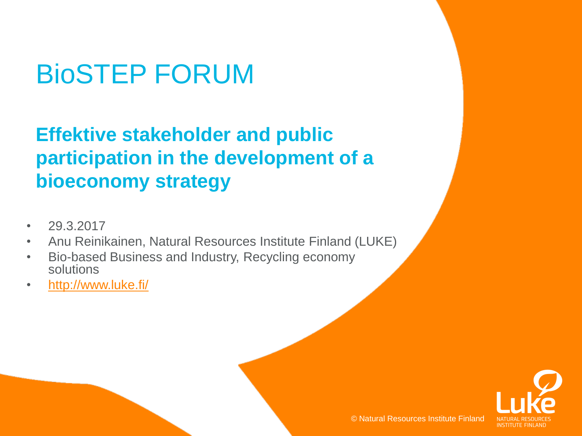# BioSTEP FORUM

#### **Effektive stakeholder and public participation in the development of a bioeconomy strategy**

- 29.3.2017
- Anu Reinikainen, Natural Resources Institute Finland (LUKE)
- Bio-based Business and Industry, Recycling economy solutions
- [http://www.luke.fi/](https://www.luke.fi/)

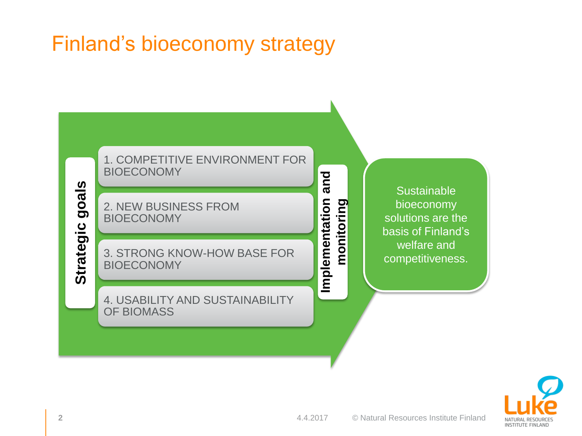#### Finland's bioeconomy strategy



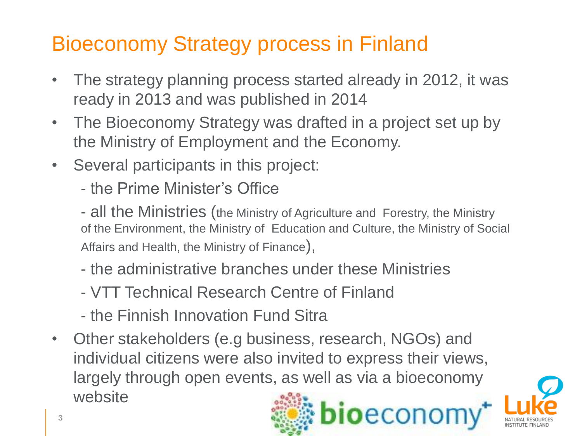# Bioeconomy Strategy process in Finland

- The strategy planning process started already in 2012, it was ready in 2013 and was published in 2014
- The Bioeconomy Strategy was drafted in a project set up by the Ministry of Employment and the Economy.
- Several participants in this project:
	- the Prime Minister's Office

- all the Ministries (the Ministry of Agriculture and Forestry, the Ministry of the Environment, the Ministry of Education and Culture, the Ministry of Social Affairs and Health, the Ministry of Finance),

- the administrative branches under these Ministries
- VTT Technical Research Centre of Finland
- the Finnish Innovation Fund Sitra
- Other stakeholders (e.g business, research, NGOs) and individual citizens were also invited to express their views, largely through open events, as well as via a bioeconomy website

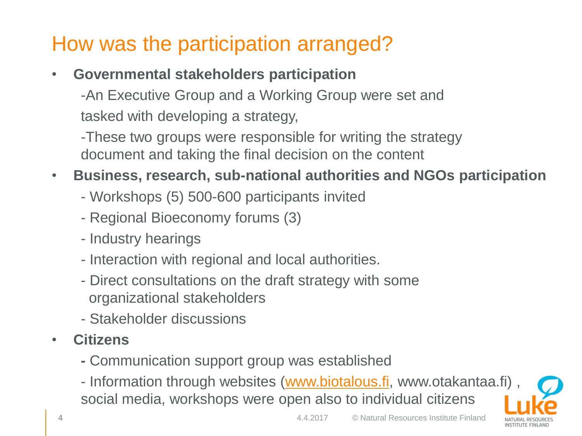# How was the participation arranged?

• **Governmental stakeholders participation**

-An Executive Group and a Working Group were set and tasked with developing a strategy,

-These two groups were responsible for writing the strategy document and taking the final decision on the content

- **Business, research, sub-national authorities and NGOs participation** 
	- Workshops (5) 500-600 participants invited
	- Regional Bioeconomy forums (3)
	- Industry hearings
	- Interaction with regional and local authorities.
	- Direct consultations on the draft strategy with some organizational stakeholders
	- Stakeholder discussions
- **Citizens** 
	- **-** Communication support group was established
	- Information through websites ([www.biotalous.fi,](https://www.biotalous.fi/) www.otakantaa.fi), social media, workshops were open also to individual citizens

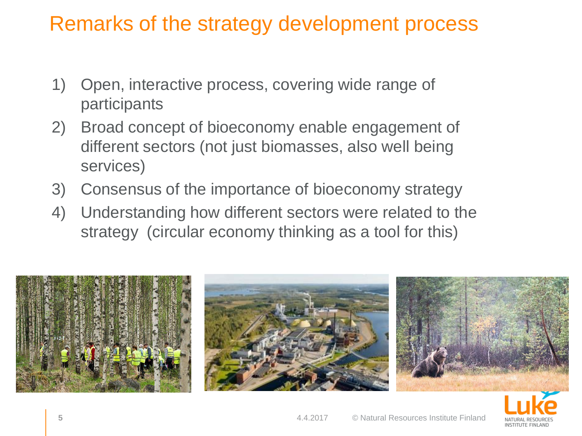#### Remarks of the strategy development process

- 1) Open, interactive process, covering wide range of participants
- 2) Broad concept of bioeconomy enable engagement of different sectors (not just biomasses, also well being services)
- 3) Consensus of the importance of bioeconomy strategy
- 4) Understanding how different sectors were related to the strategy (circular economy thinking as a tool for this)



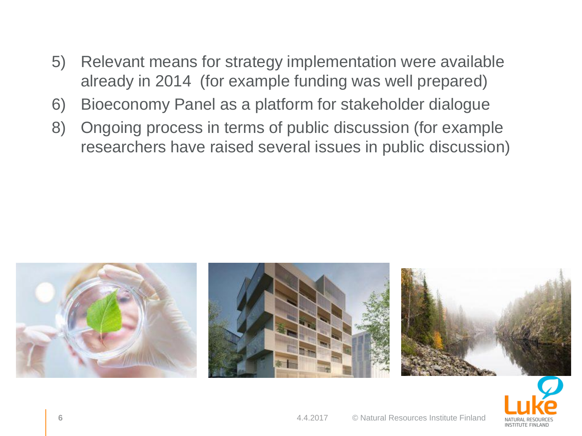- 5) Relevant means for strategy implementation were available already in 2014 (for example funding was well prepared)
- 6) Bioeconomy Panel as a platform for stakeholder dialogue
- 8) Ongoing process in terms of public discussion (for example researchers have raised several issues in public discussion)



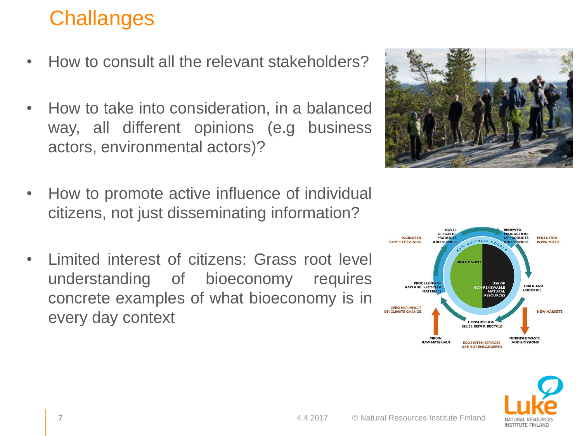# **Challanges**

- How to consult all the relevant stakeholders?
- How to take into consideration, in a balanced way, all different opinions (e.g business actors, environmental actors)?
- How to promote active influence of individual citizens, not just disseminating information?
- Limited interest of citizens: Grass root level understanding of bioeconomy requires concrete examples of what bioeconomy is in every day context





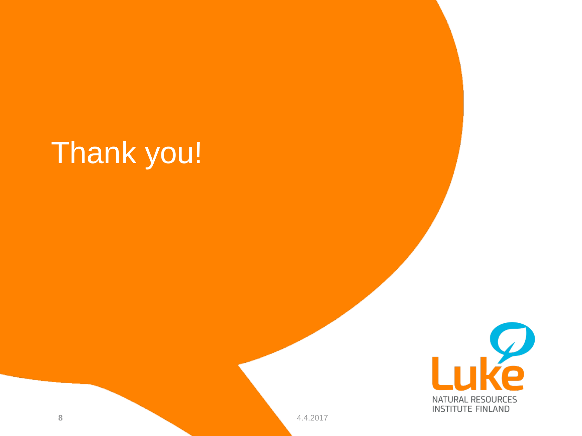# Thank you!



**8** 4.4.2017